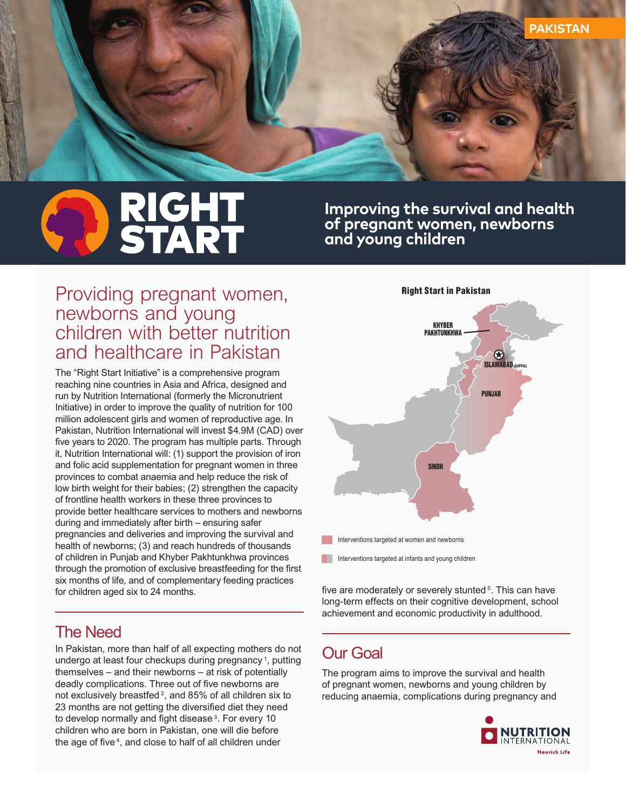

# **RIGHT<br>START**

**Improving the survival and health of pregnant women, newborns and young children**

## *Providing pregnant women, newborns and young children with better nutrition and healthcare in Pakistan*

*The "Right Start Initiative" is a comprehensive program reaching nine countries in Asia and Africa, designed and run by Nutrition International (formerly the Micronutrient Initiative) in order to improve the quality of nutrition for 100 million adolescent girls and women of reproductive age. In Pakistan, Nutrition International will invest \$4.9M (CAD) over*  five years to 2020. The program has multiple parts. Through *it, Nutrition International will: (1) support the provision of iron and folic acid supplementation for pregnant women in three provinces to combat anaemia and help reduce the risk of low birth weight for their babies; (2) strengthen the capacity of frontline health workers in these three provinces to provide better healthcare services to mothers and newborns during and immediately after birth – ensuring safer pregnancies and deliveries and improving the survival and health of newborns; (3) and reach hundreds of thousands of children in Punjab and Khyber Pakhtunkhwa provinces*  through the promotion of exclusive breastfeeding for the first *six months of life, and of complementary feeding practices for children aged six to 24 months.*

### *The Need*

*In Pakistan, more than half of all expecting mothers do not undergo at least four checkups during pregnancy <sup>1</sup> , putting themselves – and their newborns – at risk of potentially*  deadly complications. Three out of five newborns are *not exclusively breastfed 2, and 85% of all children six to*  23 months are not getting the diversified diet they need to develop normally and fight disease<sup>3</sup>. For every 10 *children who are born in Pakistan, one will die before*  the age of five<sup>4</sup>, and close to half of all children under



*fi ve are moderately or severely stunted 5. This can have long-term effects on their cognitive development, school achievement and economic productivity in adulthood.*

# *Our Goal*

*The program aims to improve the survival and health of pregnant women, newborns and young children by reducing anaemia, complications during pregnancy and*